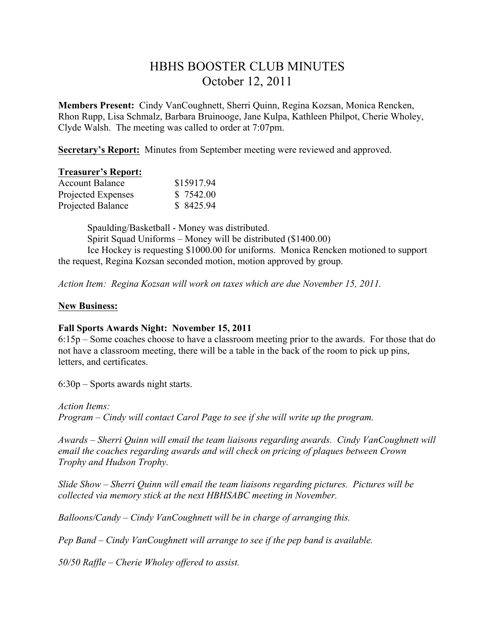# HBHS BOOSTER CLUB MINUTES October 12, 2011

**Members Present:** Cindy VanCoughnett, Sherri Quinn, Regina Kozsan, Monica Rencken, Rhon Rupp, Lisa Schmalz, Barbara Bruinooge, Jane Kulpa, Kathleen Philpot, Cherie Wholey, Clyde Walsh. The meeting was called to order at 7:07pm.

**Secretary's Report:** Minutes from September meeting were reviewed and approved.

#### **Treasurer's Report:**

| <b>Account Balance</b> | \$15917.94 |
|------------------------|------------|
| Projected Expenses     | \$7542.00  |
| Projected Balance      | \$8425.94  |

Spaulding/Basketball - Money was distributed. Spirit Squad Uniforms – Money will be distributed (\$1400.00) Ice Hockey is requesting \$1000.00 for uniforms. Monica Rencken motioned to support the request, Regina Kozsan seconded motion, motion approved by group.

*Action Item: Regina Kozsan will work on taxes which are due November 15, 2011.* 

## **New Business:**

### **Fall Sports Awards Night: November 15, 2011**

6:15p – Some coaches choose to have a classroom meeting prior to the awards. For those that do not have a classroom meeting, there will be a table in the back of the room to pick up pins, letters, and certificates.

6:30p – Sports awards night starts.

### *Action Items:*

*Program – Cindy will contact Carol Page to see if she will write up the program.*

*Awards – Sherri Quinn will email the team liaisons regarding awards. Cindy VanCoughnett will email the coaches regarding awards and will check on pricing of plaques between Crown Trophy and Hudson Trophy.*

*Slide Show – Sherri Quinn will email the team liaisons regarding pictures. Pictures will be collected via memory stick at the next HBHSABC meeting in November.*

*Balloons/Candy – Cindy VanCoughnett will be in charge of arranging this.*

*Pep Band – Cindy VanCoughnett will arrange to see if the pep band is available.*

*50/50 Raffle – Cherie Wholey offered to assist.*